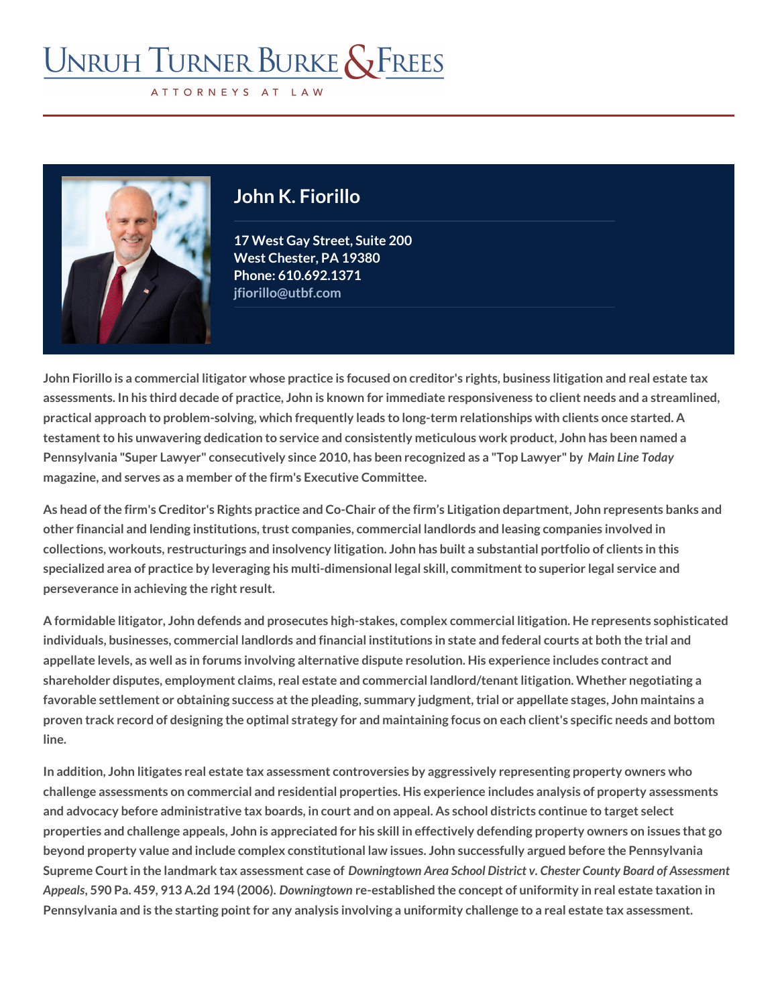## John K. Fiorillo

17 West Gay Street, Suite 200 West Chester, PA 19380 Phon@10.692.1371 [jfiorillo@utbf.com](mailto:jfiorillo@utbf.com)

John Fiorillo is a commercial litigator whose practice is focused on creditor's rights, business litigation and real estate taxe taxes in and real estate taxes and real estate taxes and real estate taxes and real estate ta assessments. In his third decade of practice, John is known for immediate respons practical approach to problem-solving, which frequently leads to long-term relation testament to his unwavering dedication to service and consistently meticulous wor Pennsylvania "Super Lawyer" consecutively since 2010, has bMannrecroegnTiadealyas a magazine, and serves as a member of the firm's Executive Committee.

As head of the firm's Creditor's Rights practice and Co-Chair of the firm s Litigati other financial and lending institutions, trust companies, commercial landlords and collections, workouts, restructurings and insolvency litigation. John has built a su specialized area of practice by leveraging his multi-dimensional legal skill, commi perseverance in achieving the right result.

A formidable litigator, John defends and prosecutes high-stakes, complex commerc individuals, businesses, commercial landlords and financial institutions in state and appellate levels, as well as in forums involving alternative dispute resolution. His shareholder disputes, employment claims, real estate and commercial landlord/ten favorable settlement or obtaining success at the pleading, summary judgment, tria proven track record of designing the optimal strategy for and maintaining focus on line.

In addition, John litigates real estate tax assessment controversies by aggressive challenge assessments on commercial and residential properties. His experience i and advocacy before administrative tax boards, in court and on appeal. As school properties and challenge appeals, John is appreciated for his skill in effectively d beyond property value and include complex constitutional law issues. John succes Supreme Court in the landmark tax Daosworeisnsgyntown to cAarse an and District v. Chester County Board of Ass Appeal5s90 Pa. 459, 913 A.2Ddowt \$4n (6206). But also hed the concept of uniformity in real estate taxation in the state of uniformity in real estate of uniformity in real estate of uniformity in the state of  $\theta$ Pennsylvania and is the starting point for any analysis involving a uniformity chal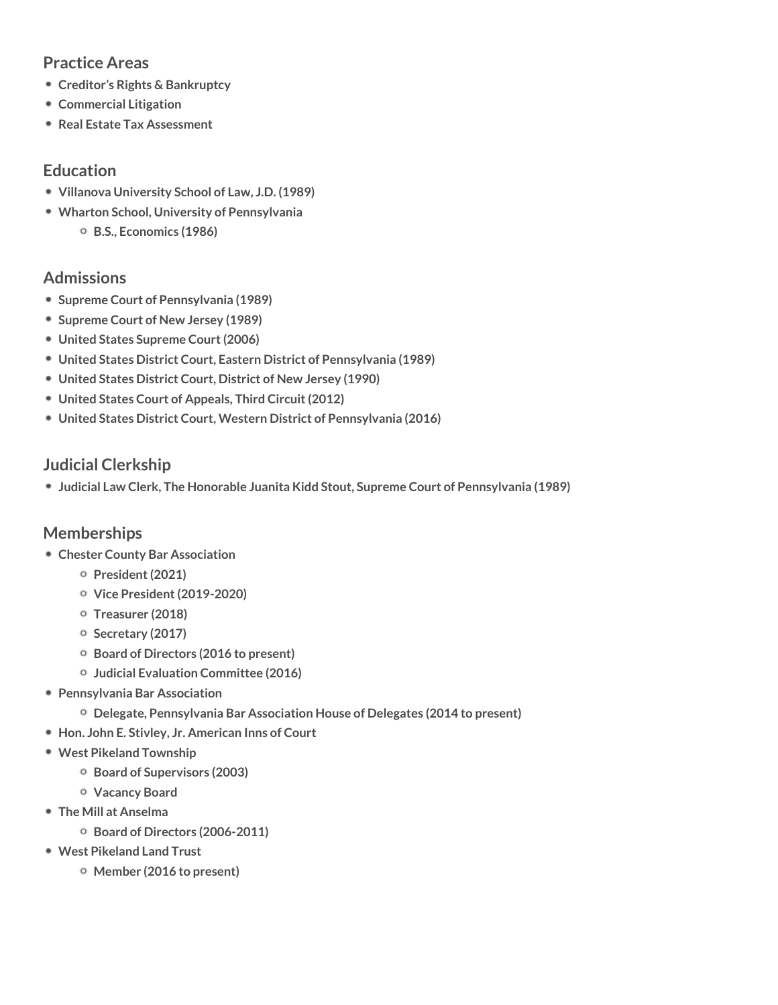## Practice Areas [Creditor s Rights &](/practices/creditors-rights-bankruptcy/) Bankruptcy [Commercial Li](/practices/litigation/)tigation [Real Estate Tax A](/practices/real-estate-tax-assessment/)ssessment Education Villanova University School of Law, J.D. (1989) Wharton School, University of Pennsylvania B.S., Economics (1986) Admissions Supreme Court of Pennsylvania (1989) Supreme Court of New Jersey (1989) United States Supreme Court (2006) United States District Court, Eastern District of Pennsylvania (1989) United States District Court, District of New Jersey (1990) United States Court of Appeals, Third Circuit (2012) United States District Court, Western District of Pennsylvania (2016) Judicial Clerkship Judicial Law Clerk, The Honorable Juanita Kidd Stout, Supreme Court of Pennsyl Memberships Chester County Bar Association President (2021) Vice President (2019-2020) Treasurer (2018) Secretary (2017) Board of Directors (2016 to present) Judicial Evaluation Committee (2016) Pennsylvania Bar Association Delegate, Pennsylvania Bar Association House of Delegates (2014 to present) Hon. John E. Stivley, Jr. American Inns of Court West Pikeland Township Board of Supervisors (2003) Vacancy Board The Mill at Anselma Board of Directors (2006-2011) West Pikeland Land Trust

Member (2016 to present)